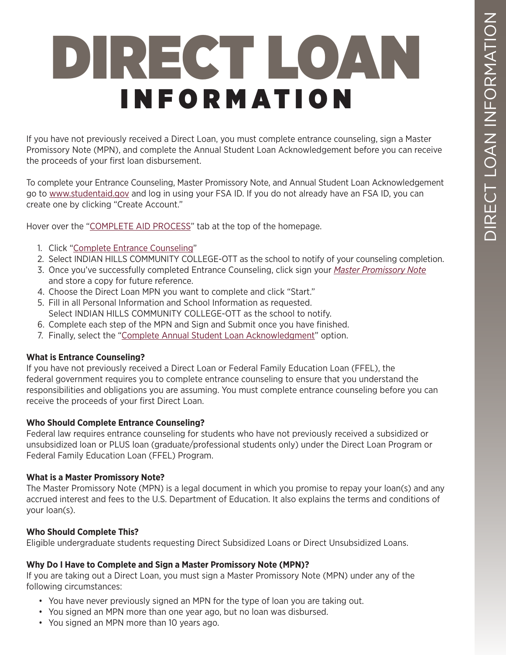# DIRECT LOAN INFORMATION

If you have not previously received a Direct Loan, you must complete entrance counseling, sign a Master Promissory Note (MPN), and complete the Annual Student Loan Acknowledgement before you can receive the proceeds of your first loan disbursement.

To complete your Entrance Counseling, Master Promissory Note, and Annual Student Loan Acknowledgement go to [www.studentaid.gov](http://www.studentaid.gov) and log in using your FSA ID. If you do not already have an FSA ID, you can create one by clicking "Create Account."

Hover over the "[COMPLETE AID PROCESS"](https://studentaid.gov/h/complete-aid-process) tab at the top of the homepage.

- 1. Click "[Complete Entrance Counseling"](https://studentaid.gov/entrance-counseling)
- 2. Select INDIAN HILLS COMMUNITY COLLEGE-OTT as the school to notify of your counseling completion.
- 3. Once you've successfully completed Entrance Counseling, click sign your *[Master Promissory Note](https://studentaid.gov/entrance-counseling)* and store a copy for future reference.
- 4. Choose the Direct Loan MPN you want to complete and click "Start."
- 5. Fill in all Personal Information and School Information as requested. Select INDIAN HILLS COMMUNITY COLLEGE-OTT as the school to notify.
- 6. Complete each step of the MPN and Sign and Submit once you have finished.
- 7. Finally, select the ["Complete Annual Student Loan Acknowledgment](https://studentaid.gov/asla)" option.

#### **What is Entrance Counseling?**

If you have not previously received a Direct Loan or Federal Family Education Loan (FFEL), the federal government requires you to complete entrance counseling to ensure that you understand the responsibilities and obligations you are assuming. You must complete entrance counseling before you can receive the proceeds of your first Direct Loan.

## **Who Should Complete Entrance Counseling?**

Federal law requires entrance counseling for students who have not previously received a subsidized or unsubsidized loan or PLUS loan (graduate/professional students only) under the Direct Loan Program or Federal Family Education Loan (FFEL) Program.

#### **What is a Master Promissory Note?**

The Master Promissory Note (MPN) is a legal document in which you promise to repay your loan(s) and any accrued interest and fees to the U.S. Department of Education. It also explains the terms and conditions of your loan(s).

## **Who Should Complete This?**

Eligible undergraduate students requesting Direct Subsidized Loans or Direct Unsubsidized Loans.

#### **Why Do I Have to Complete and Sign a Master Promissory Note (MPN)?**

If you are taking out a Direct Loan, you must sign a Master Promissory Note (MPN) under any of the following circumstances:

- You have never previously signed an MPN for the type of loan you are taking out.
- You signed an MPN more than one year ago, but no loan was disbursed.
- You signed an MPN more than 10 years ago.